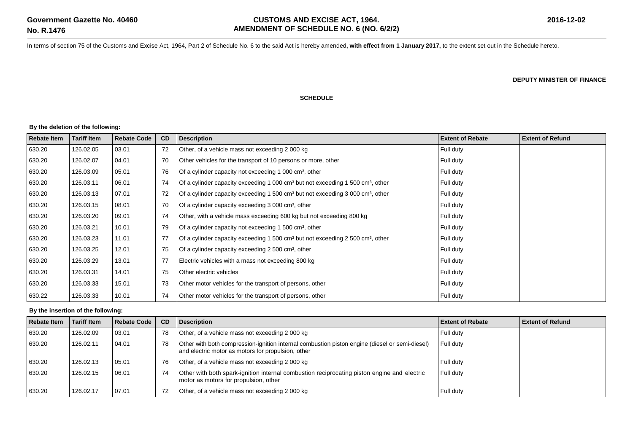In terms of section 75 of the Customs and Excise Act, 1964, Part 2 of Schedule No. 6 to the said Act is hereby amended**, with effect from 1 January 2017,** to the extent set out in the Schedule hereto.

**DEPUTY MINISTER OF FINANCE**

## **SCHEDULE**

## **By the deletion of the following:**

| <b>Rebate Item</b> | <b>Tariff Item</b> | <b>Rebate Code</b> | CD | <b>Description</b>                                                                                     | <b>Extent of Rebate</b> | <b>Extent of Refund</b> |
|--------------------|--------------------|--------------------|----|--------------------------------------------------------------------------------------------------------|-------------------------|-------------------------|
| 630.20             | 126.02.05          | 03.01              | 72 | Other, of a vehicle mass not exceeding 2 000 kg                                                        | Full duty               |                         |
| 630.20             | 126.02.07          | 04.01              | 70 | Other vehicles for the transport of 10 persons or more, other                                          | Full duty               |                         |
| 630.20             | 126.03.09          | 05.01              | 76 | Of a cylinder capacity not exceeding 1 000 cm <sup>3</sup> , other                                     | Full duty               |                         |
| 630.20             | 126.03.11          | 06.01              | 74 | Of a cylinder capacity exceeding 1 000 $\text{cm}^3$ but not exceeding 1 500 $\text{cm}^3$ , other     | Full duty               |                         |
| 630.20             | 126.03.13          | 07.01              | 72 | Of a cylinder capacity exceeding 1 500 $\text{cm}^3$ but not exceeding 3 000 $\text{cm}^3$ , other     | Full duty               |                         |
| 630.20             | 126.03.15          | 08.01              | 70 | Of a cylinder capacity exceeding 3 000 cm <sup>3</sup> , other                                         | Full duty               |                         |
| 630.20             | 126.03.20          | 09.01              | 74 | Other, with a vehicle mass exceeding 600 kg but not exceeding 800 kg                                   | Full duty               |                         |
| 630.20             | 126.03.21          | 10.01              | 79 | Of a cylinder capacity not exceeding 1 500 cm <sup>3</sup> , other                                     | Full duty               |                         |
| 630.20             | 126.03.23          | 11.01              | 77 | Of a cylinder capacity exceeding 1 500 cm <sup>3</sup> but not exceeding 2 500 cm <sup>3</sup> , other | Full duty               |                         |
| 630.20             | 126.03.25          | 12.01              | 75 | Of a cylinder capacity exceeding 2 500 cm <sup>3</sup> , other                                         | Full duty               |                         |
| 630.20             | 126.03.29          | 13.01              | 77 | Electric vehicles with a mass not exceeding 800 kg                                                     | Full duty               |                         |
| 630.20             | 126.03.31          | 14.01              | 75 | Other electric vehicles                                                                                | Full duty               |                         |
| 630.20             | 126.03.33          | 15.01              | 73 | Other motor vehicles for the transport of persons, other                                               | Full duty               |                         |
| 630.22             | 126.03.33          | 10.01              | 74 | Other motor vehicles for the transport of persons, other                                               | Full duty               |                         |

## **By the insertion of the following:**

| <b>Rebate Item</b> | <b>Tariff Item</b> | Rebate Code | <b>CD</b> | <b>Description</b>                                                                                                                                   | <b>Extent of Rebate</b> | Extent of Refund |
|--------------------|--------------------|-------------|-----------|------------------------------------------------------------------------------------------------------------------------------------------------------|-------------------------|------------------|
| 630.20             | 126.02.09          | 03.01       | 78        | Other, of a vehicle mass not exceeding 2000 kg                                                                                                       | Full duty               |                  |
| 630.20             | 126.02.11          | 04.01       | 78        | Other with both compression-ignition internal combustion piston engine (diesel or semi-diesel)<br>and electric motor as motors for propulsion, other | Full duty               |                  |
| 630.20             | 126.02.13          | 05.01       | 76        | Other, of a vehicle mass not exceeding 2000 kg                                                                                                       | Full duty               |                  |
| 630.20             | 126.02.15          | 06.01       | 74        | Other with both spark-ignition internal combustion reciprocating piston engine and electric<br>motor as motors for propulsion, other                 | Full duty               |                  |
| 630.20             | 126.02.17          | 07.01       | 72        | Other, of a vehicle mass not exceeding 2 000 kg                                                                                                      | Full dutv               |                  |